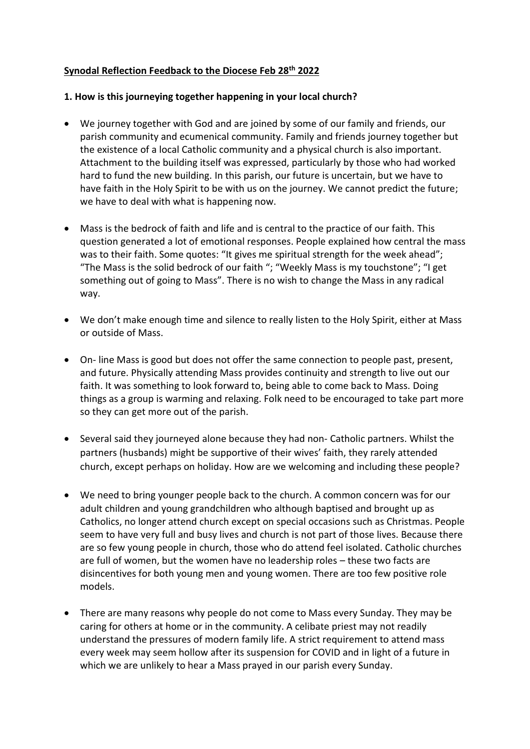# **Synodal Reflection Feedback to the Diocese Feb 28th 2022**

## **1. How is this journeying together happening in your local church?**

- We journey together with God and are joined by some of our family and friends, our parish community and ecumenical community. Family and friends journey together but the existence of a local Catholic community and a physical church is also important. Attachment to the building itself was expressed, particularly by those who had worked hard to fund the new building. In this parish, our future is uncertain, but we have to have faith in the Holy Spirit to be with us on the journey. We cannot predict the future; we have to deal with what is happening now.
- Mass is the bedrock of faith and life and is central to the practice of our faith. This question generated a lot of emotional responses. People explained how central the mass was to their faith. Some quotes: "It gives me spiritual strength for the week ahead"; "The Mass is the solid bedrock of our faith "; "Weekly Mass is my touchstone"; "I get something out of going to Mass". There is no wish to change the Mass in any radical way.
- We don't make enough time and silence to really listen to the Holy Spirit, either at Mass or outside of Mass.
- On- line Mass is good but does not offer the same connection to people past, present, and future. Physically attending Mass provides continuity and strength to live out our faith. It was something to look forward to, being able to come back to Mass. Doing things as a group is warming and relaxing. Folk need to be encouraged to take part more so they can get more out of the parish.
- Several said they journeyed alone because they had non- Catholic partners. Whilst the partners (husbands) might be supportive of their wives' faith, they rarely attended church, except perhaps on holiday. How are we welcoming and including these people?
- We need to bring younger people back to the church. A common concern was for our adult children and young grandchildren who although baptised and brought up as Catholics, no longer attend church except on special occasions such as Christmas. People seem to have very full and busy lives and church is not part of those lives. Because there are so few young people in church, those who do attend feel isolated. Catholic churches are full of women, but the women have no leadership roles – these two facts are disincentives for both young men and young women. There are too few positive role models.
- There are many reasons why people do not come to Mass every Sunday. They may be caring for others at home or in the community. A celibate priest may not readily understand the pressures of modern family life. A strict requirement to attend mass every week may seem hollow after its suspension for COVID and in light of a future in which we are unlikely to hear a Mass prayed in our parish every Sunday.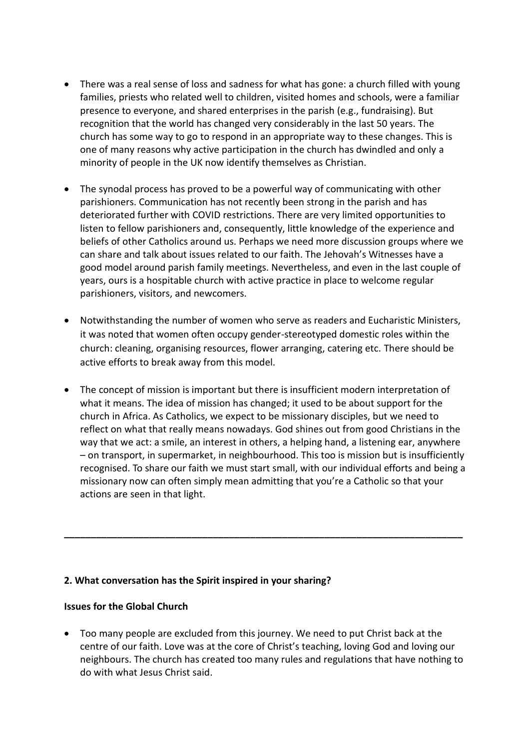- There was a real sense of loss and sadness for what has gone: a church filled with young families, priests who related well to children, visited homes and schools, were a familiar presence to everyone, and shared enterprises in the parish (e.g., fundraising). But recognition that the world has changed very considerably in the last 50 years. The church has some way to go to respond in an appropriate way to these changes. This is one of many reasons why active participation in the church has dwindled and only a minority of people in the UK now identify themselves as Christian.
- The synodal process has proved to be a powerful way of communicating with other parishioners. Communication has not recently been strong in the parish and has deteriorated further with COVID restrictions. There are very limited opportunities to listen to fellow parishioners and, consequently, little knowledge of the experience and beliefs of other Catholics around us. Perhaps we need more discussion groups where we can share and talk about issues related to our faith. The Jehovah's Witnesses have a good model around parish family meetings. Nevertheless, and even in the last couple of years, ours is a hospitable church with active practice in place to welcome regular parishioners, visitors, and newcomers.
- Notwithstanding the number of women who serve as readers and Eucharistic Ministers, it was noted that women often occupy gender-stereotyped domestic roles within the church: cleaning, organising resources, flower arranging, catering etc. There should be active efforts to break away from this model.
- The concept of mission is important but there is insufficient modern interpretation of what it means. The idea of mission has changed; it used to be about support for the church in Africa. As Catholics, we expect to be missionary disciples, but we need to reflect on what that really means nowadays. God shines out from good Christians in the way that we act: a smile, an interest in others, a helping hand, a listening ear, anywhere – on transport, in supermarket, in neighbourhood. This too is mission but is insufficiently recognised. To share our faith we must start small, with our individual efforts and being a missionary now can often simply mean admitting that you're a Catholic so that your actions are seen in that light.

**\_\_\_\_\_\_\_\_\_\_\_\_\_\_\_\_\_\_\_\_\_\_\_\_\_\_\_\_\_\_\_\_\_\_\_\_\_\_\_\_\_\_\_\_\_\_\_\_\_\_\_\_\_\_\_\_\_\_\_\_\_\_\_\_\_\_\_\_\_\_\_\_\_\_\_**

# **2. What conversation has the Spirit inspired in your sharing?**

### **Issues for the Global Church**

• Too many people are excluded from this journey. We need to put Christ back at the centre of our faith. Love was at the core of Christ's teaching, loving God and loving our neighbours. The church has created too many rules and regulations that have nothing to do with what Jesus Christ said.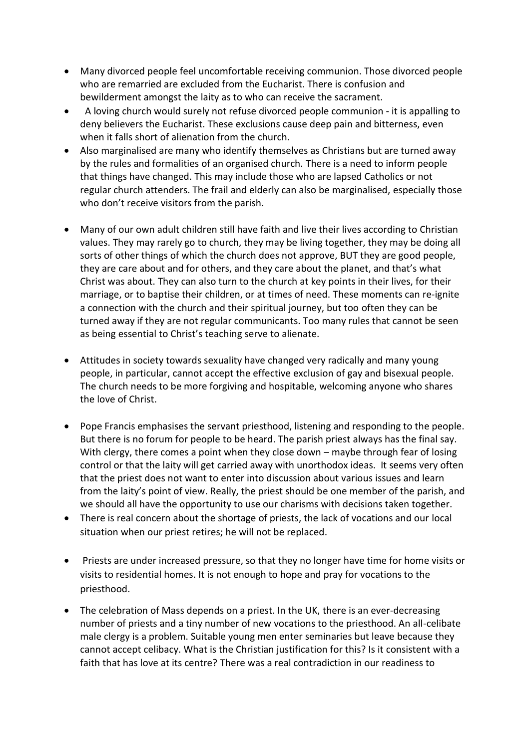- Many divorced people feel uncomfortable receiving communion. Those divorced people who are remarried are excluded from the Eucharist. There is confusion and bewilderment amongst the laity as to who can receive the sacrament.
- A loving church would surely not refuse divorced people communion it is appalling to deny believers the Eucharist. These exclusions cause deep pain and bitterness, even when it falls short of alienation from the church.
- Also marginalised are many who identify themselves as Christians but are turned away by the rules and formalities of an organised church. There is a need to inform people that things have changed. This may include those who are lapsed Catholics or not regular church attenders. The frail and elderly can also be marginalised, especially those who don't receive visitors from the parish.
- Many of our own adult children still have faith and live their lives according to Christian values. They may rarely go to church, they may be living together, they may be doing all sorts of other things of which the church does not approve, BUT they are good people, they are care about and for others, and they care about the planet, and that's what Christ was about. They can also turn to the church at key points in their lives, for their marriage, or to baptise their children, or at times of need. These moments can re-ignite a connection with the church and their spiritual journey, but too often they can be turned away if they are not regular communicants. Too many rules that cannot be seen as being essential to Christ's teaching serve to alienate.
- Attitudes in society towards sexuality have changed very radically and many young people, in particular, cannot accept the effective exclusion of gay and bisexual people. The church needs to be more forgiving and hospitable, welcoming anyone who shares the love of Christ.
- Pope Francis emphasises the servant priesthood, listening and responding to the people. But there is no forum for people to be heard. The parish priest always has the final say. With clergy, there comes a point when they close down – maybe through fear of losing control or that the laity will get carried away with unorthodox ideas. It seems very often that the priest does not want to enter into discussion about various issues and learn from the laity's point of view. Really, the priest should be one member of the parish, and we should all have the opportunity to use our charisms with decisions taken together.
- There is real concern about the shortage of priests, the lack of vocations and our local situation when our priest retires; he will not be replaced.
- Priests are under increased pressure, so that they no longer have time for home visits or visits to residential homes. It is not enough to hope and pray for vocations to the priesthood.
- The celebration of Mass depends on a priest. In the UK, there is an ever-decreasing number of priests and a tiny number of new vocations to the priesthood. An all-celibate male clergy is a problem. Suitable young men enter seminaries but leave because they cannot accept celibacy. What is the Christian justification for this? Is it consistent with a faith that has love at its centre? There was a real contradiction in our readiness to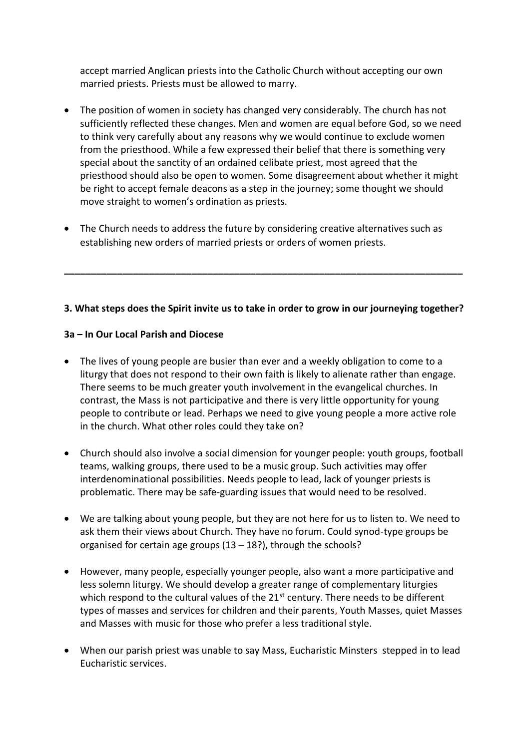accept married Anglican priests into the Catholic Church without accepting our own married priests. Priests must be allowed to marry.

- The position of women in society has changed very considerably. The church has not sufficiently reflected these changes. Men and women are equal before God, so we need to think very carefully about any reasons why we would continue to exclude women from the priesthood. While a few expressed their belief that there is something very special about the sanctity of an ordained celibate priest, most agreed that the priesthood should also be open to women. Some disagreement about whether it might be right to accept female deacons as a step in the journey; some thought we should move straight to women's ordination as priests.
- The Church needs to address the future by considering creative alternatives such as establishing new orders of married priests or orders of women priests.

# **3. What steps does the Spirit invite us to take in order to grow in our journeying together?**

**\_\_\_\_\_\_\_\_\_\_\_\_\_\_\_\_\_\_\_\_\_\_\_\_\_\_\_\_\_\_\_\_\_\_\_\_\_\_\_\_\_\_\_\_\_\_\_\_\_\_\_\_\_\_\_\_\_\_\_\_\_\_\_\_\_\_\_\_\_\_\_\_\_\_\_**

## **3a – In Our Local Parish and Diocese**

- The lives of young people are busier than ever and a weekly obligation to come to a liturgy that does not respond to their own faith is likely to alienate rather than engage. There seems to be much greater youth involvement in the evangelical churches. In contrast, the Mass is not participative and there is very little opportunity for young people to contribute or lead. Perhaps we need to give young people a more active role in the church. What other roles could they take on?
- Church should also involve a social dimension for younger people: youth groups, football teams, walking groups, there used to be a music group. Such activities may offer interdenominational possibilities. Needs people to lead, lack of younger priests is problematic. There may be safe-guarding issues that would need to be resolved.
- We are talking about young people, but they are not here for us to listen to. We need to ask them their views about Church. They have no forum. Could synod-type groups be organised for certain age groups  $(13 - 18)$ , through the schools?
- However, many people, especially younger people, also want a more participative and less solemn liturgy. We should develop a greater range of complementary liturgies which respond to the cultural values of the 21<sup>st</sup> century. There needs to be different types of masses and services for children and their parents, Youth Masses, quiet Masses and Masses with music for those who prefer a less traditional style.
- When our parish priest was unable to say Mass, Eucharistic Minsters stepped in to lead Eucharistic services.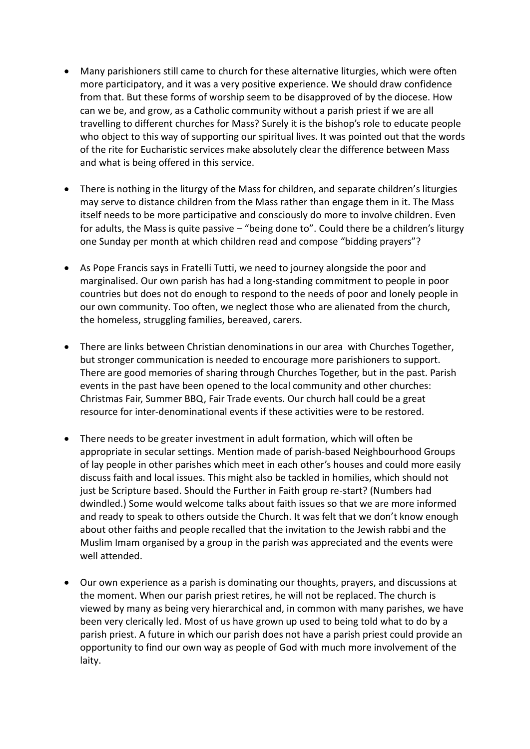- Many parishioners still came to church for these alternative liturgies, which were often more participatory, and it was a very positive experience. We should draw confidence from that. But these forms of worship seem to be disapproved of by the diocese. How can we be, and grow, as a Catholic community without a parish priest if we are all travelling to different churches for Mass? Surely it is the bishop's role to educate people who object to this way of supporting our spiritual lives. It was pointed out that the words of the rite for Eucharistic services make absolutely clear the difference between Mass and what is being offered in this service.
- There is nothing in the liturgy of the Mass for children, and separate children's liturgies may serve to distance children from the Mass rather than engage them in it. The Mass itself needs to be more participative and consciously do more to involve children. Even for adults, the Mass is quite passive – "being done to". Could there be a children's liturgy one Sunday per month at which children read and compose "bidding prayers"?
- As Pope Francis says in Fratelli Tutti, we need to journey alongside the poor and marginalised. Our own parish has had a long-standing commitment to people in poor countries but does not do enough to respond to the needs of poor and lonely people in our own community. Too often, we neglect those who are alienated from the church, the homeless, struggling families, bereaved, carers.
- There are links between Christian denominations in our area with Churches Together, but stronger communication is needed to encourage more parishioners to support. There are good memories of sharing through Churches Together, but in the past. Parish events in the past have been opened to the local community and other churches: Christmas Fair, Summer BBQ, Fair Trade events. Our church hall could be a great resource for inter-denominational events if these activities were to be restored.
- There needs to be greater investment in adult formation, which will often be appropriate in secular settings. Mention made of parish-based Neighbourhood Groups of lay people in other parishes which meet in each other's houses and could more easily discuss faith and local issues. This might also be tackled in homilies, which should not just be Scripture based. Should the Further in Faith group re-start? (Numbers had dwindled.) Some would welcome talks about faith issues so that we are more informed and ready to speak to others outside the Church. It was felt that we don't know enough about other faiths and people recalled that the invitation to the Jewish rabbi and the Muslim Imam organised by a group in the parish was appreciated and the events were well attended.
- Our own experience as a parish is dominating our thoughts, prayers, and discussions at the moment. When our parish priest retires, he will not be replaced. The church is viewed by many as being very hierarchical and, in common with many parishes, we have been very clerically led. Most of us have grown up used to being told what to do by a parish priest. A future in which our parish does not have a parish priest could provide an opportunity to find our own way as people of God with much more involvement of the laity.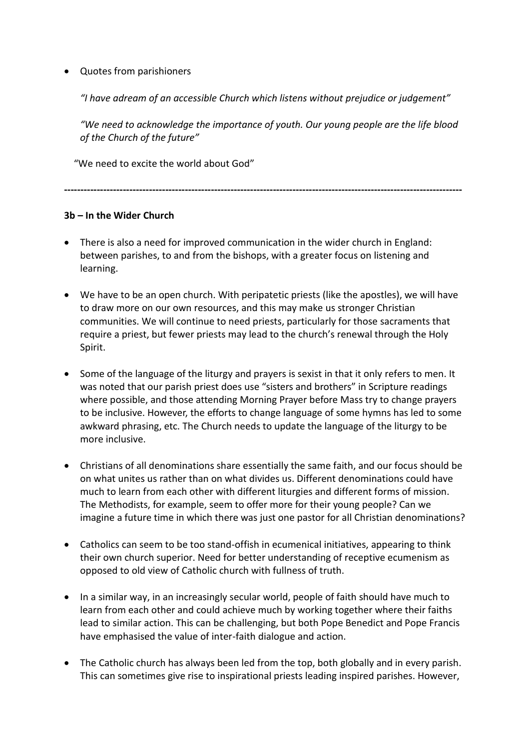# • Quotes from parishioners

*"I have adream of an accessible Church which listens without prejudice or judgement"*

*"We need to acknowledge the importance of youth. Our young people are the life blood of the Church of the future"*

"We need to excite the world about God"

**--------------------------------------------------------------------------------------------------------------------------**

# **3b – In the Wider Church**

- There is also a need for improved communication in the wider church in England: between parishes, to and from the bishops, with a greater focus on listening and learning.
- We have to be an open church. With peripatetic priests (like the apostles), we will have to draw more on our own resources, and this may make us stronger Christian communities. We will continue to need priests, particularly for those sacraments that require a priest, but fewer priests may lead to the church's renewal through the Holy Spirit.
- Some of the language of the liturgy and prayers is sexist in that it only refers to men. It was noted that our parish priest does use "sisters and brothers" in Scripture readings where possible, and those attending Morning Prayer before Mass try to change prayers to be inclusive. However, the efforts to change language of some hymns has led to some awkward phrasing, etc. The Church needs to update the language of the liturgy to be more inclusive.
- Christians of all denominations share essentially the same faith, and our focus should be on what unites us rather than on what divides us. Different denominations could have much to learn from each other with different liturgies and different forms of mission. The Methodists, for example, seem to offer more for their young people? Can we imagine a future time in which there was just one pastor for all Christian denominations?
- Catholics can seem to be too stand-offish in ecumenical initiatives, appearing to think their own church superior. Need for better understanding of receptive ecumenism as opposed to old view of Catholic church with fullness of truth.
- In a similar way, in an increasingly secular world, people of faith should have much to learn from each other and could achieve much by working together where their faiths lead to similar action. This can be challenging, but both Pope Benedict and Pope Francis have emphasised the value of inter-faith dialogue and action.
- The Catholic church has always been led from the top, both globally and in every parish. This can sometimes give rise to inspirational priests leading inspired parishes. However,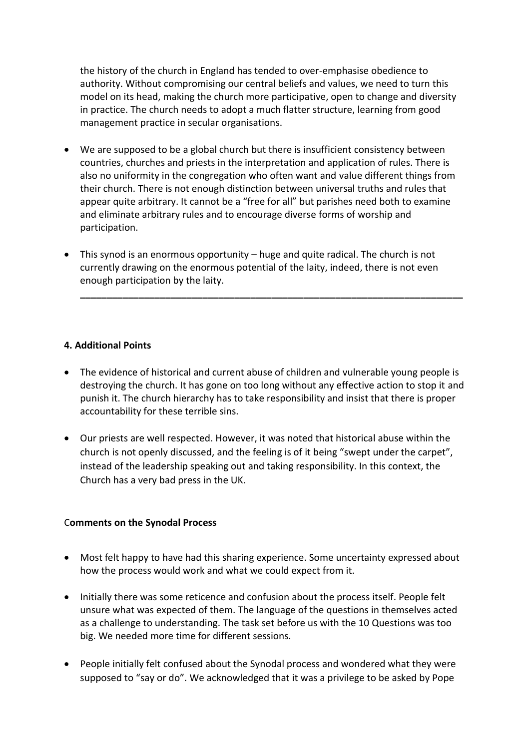the history of the church in England has tended to over-emphasise obedience to authority. Without compromising our central beliefs and values, we need to turn this model on its head, making the church more participative, open to change and diversity in practice. The church needs to adopt a much flatter structure, learning from good management practice in secular organisations.

- We are supposed to be a global church but there is insufficient consistency between countries, churches and priests in the interpretation and application of rules. There is also no uniformity in the congregation who often want and value different things from their church. There is not enough distinction between universal truths and rules that appear quite arbitrary. It cannot be a "free for all" but parishes need both to examine and eliminate arbitrary rules and to encourage diverse forms of worship and participation.
- This synod is an enormous opportunity huge and quite radical. The church is not currently drawing on the enormous potential of the laity, indeed, there is not even enough participation by the laity.

**\_\_\_\_\_\_\_\_\_\_\_\_\_\_\_\_\_\_\_\_\_\_\_\_\_\_\_\_\_\_\_\_\_\_\_\_\_\_\_\_\_\_\_\_\_\_\_\_\_\_\_\_\_\_\_\_\_\_\_\_\_\_\_\_\_\_\_\_\_\_\_\_**

### **4. Additional Points**

- The evidence of historical and current abuse of children and vulnerable young people is destroying the church. It has gone on too long without any effective action to stop it and punish it. The church hierarchy has to take responsibility and insist that there is proper accountability for these terrible sins.
- Our priests are well respected. However, it was noted that historical abuse within the church is not openly discussed, and the feeling is of it being "swept under the carpet", instead of the leadership speaking out and taking responsibility. In this context, the Church has a very bad press in the UK.

### C**omments on the Synodal Process**

- Most felt happy to have had this sharing experience. Some uncertainty expressed about how the process would work and what we could expect from it.
- Initially there was some reticence and confusion about the process itself. People felt unsure what was expected of them. The language of the questions in themselves acted as a challenge to understanding. The task set before us with the 10 Questions was too big. We needed more time for different sessions.
- People initially felt confused about the Synodal process and wondered what they were supposed to "say or do". We acknowledged that it was a privilege to be asked by Pope